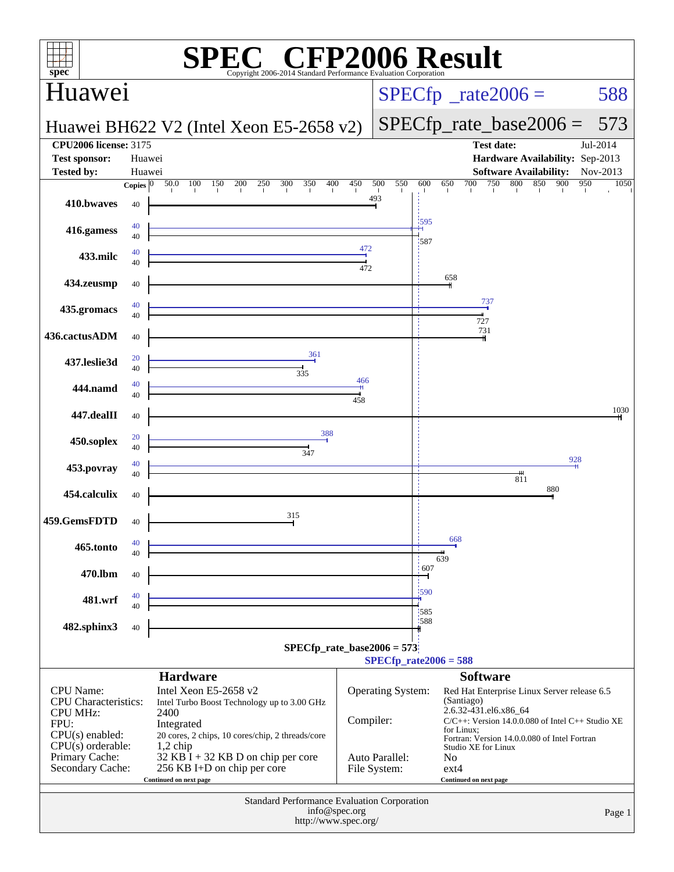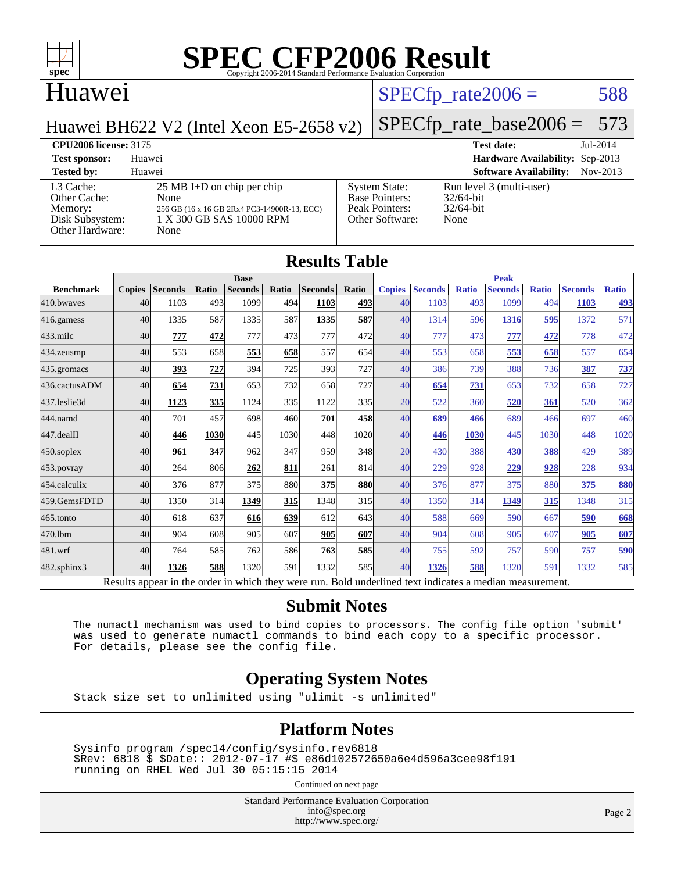

#### Huawei

#### $SPECTp\_rate2006 = 588$

Huawei BH622 V2 (Intel Xeon E5-2658 v2)

# [SPECfp\\_rate\\_base2006 =](http://www.spec.org/auto/cpu2006/Docs/result-fields.html#SPECfpratebase2006) 573

**[CPU2006 license:](http://www.spec.org/auto/cpu2006/Docs/result-fields.html#CPU2006license)** 3175 **[Test date:](http://www.spec.org/auto/cpu2006/Docs/result-fields.html#Testdate)** Jul-2014 **[Test sponsor:](http://www.spec.org/auto/cpu2006/Docs/result-fields.html#Testsponsor)** Huawei **[Hardware Availability:](http://www.spec.org/auto/cpu2006/Docs/result-fields.html#HardwareAvailability)** Sep-2013 **[Tested by:](http://www.spec.org/auto/cpu2006/Docs/result-fields.html#Testedby)** Huawei **[Software Availability:](http://www.spec.org/auto/cpu2006/Docs/result-fields.html#SoftwareAvailability)** Nov-2013

[L3 Cache:](http://www.spec.org/auto/cpu2006/Docs/result-fields.html#L3Cache) 25 MB I+D on chip per chip<br>Other Cache: None [Other Cache:](http://www.spec.org/auto/cpu2006/Docs/result-fields.html#OtherCache) [Memory:](http://www.spec.org/auto/cpu2006/Docs/result-fields.html#Memory) 256 GB (16 x 16 GB 2Rx4 PC3-14900R-13, EQ [Disk Subsystem:](http://www.spec.org/auto/cpu2006/Docs/result-fields.html#DiskSubsystem) 1 X 300 GB SAS 10000 RPM [Other Hardware:](http://www.spec.org/auto/cpu2006/Docs/result-fields.html#OtherHardware) None

|     |                                                                                    | n n                                               |
|-----|------------------------------------------------------------------------------------|---------------------------------------------------|
| CC) | <b>System State:</b><br><b>Base Pointers:</b><br>Peak Pointers:<br>Other Software: | Run level<br>$32/64$ -bit<br>$32/64$ -bit<br>None |
|     |                                                                                    |                                                   |

3 (multi-user)

|                  | <b>Results Table</b><br><b>Base</b> |                |             |                | <b>Peak</b> |                |            |               |                |              |                |              |                |              |
|------------------|-------------------------------------|----------------|-------------|----------------|-------------|----------------|------------|---------------|----------------|--------------|----------------|--------------|----------------|--------------|
| <b>Benchmark</b> | <b>Copies</b>                       | <b>Seconds</b> | Ratio       | <b>Seconds</b> | Ratio       | <b>Seconds</b> | Ratio      | <b>Copies</b> | <b>Seconds</b> | <b>Ratio</b> | <b>Seconds</b> | <b>Ratio</b> | <b>Seconds</b> | <b>Ratio</b> |
| 410.bwayes       | 40                                  | 1103           | 493         | 1099           | 494I        | 1103           | 4931       | 40            | 1103           | 493          | 1099           | 494          | 1103           | <u>493</u>   |
| $416$ .gamess    | 40                                  | 1335           | 587         | 1335           | 587         | 1335           | 587        | 40            | 1314           | 596          | 1316           | 595          | 1372           | 571          |
| $433$ .milc      | 40                                  | 777            | 472         | 777            | 473         | 777            | 472        | 40            | 777            | 473          | 777            | 472          | 778            | 472          |
| $434$ . zeusmp   | 40                                  | 553            | 658         | 553            | 658         | 557            | 654        | 40            | 553            | 658          | 553            | 658          | 557            | 654          |
| 435.gromacs      | 40                                  | 393            | 727         | 394            | 725         | 393            | 727        | 40            | 386            | 739          | 388            | 736          | 387            | 737          |
| 436.cactusADM    | 40                                  | 654            | 731         | 653            | 732         | 658            | 727        | 40            | 654            | 731          | 653            | 732          | 658            | 727          |
| 437.leslie3d     | 40                                  | 1123           | 335         | 1124           | 335         | 1122           | 335I       | 20            | 522            | 360          | 520            | 361          | 520            | 362          |
| 444.namd         | 40                                  | 701            | 457         | 698            | 460         | 701            | 458        | 40            | 689            | 466          | 689            | 466          | 697            | 460          |
| $447$ .dealII    | 40                                  | 446            | <b>1030</b> | 445            | 1030        | 448            | 1020       | 40            | 446            | 1030         | 445            | 1030         | 448            | 1020         |
| $450$ .soplex    | 40                                  | 961            | 347         | 962            | 347         | 959            | 348        | 20            | 430            | 388          | 430            | 388          | 429            | 389          |
| 453.povray       | 40                                  | 264            | 806         | 262            | 811         | 261            | 814        | 40            | 229            | 928          | 229            | 928          | 228            | 934          |
| 454.calculix     | 40                                  | 376            | 877         | 375            | 880         | 375            | <b>880</b> | 40            | 376            | 877          | 375            | 880          | 375            | 880          |
| 459.GemsFDTD     | 40                                  | 1350           | 314         | 1349           | 315         | 1348           | 315        | 40            | 1350           | 314          | 1349           | 315          | 1348           | 315          |
| $465$ .tonto     | 40                                  | 618            | 637         | 616            | 639         | 612            | 643        | 40            | 588            | 669          | 590            | 667          | 590            | 668          |
| 470.1bm          | 40                                  | 904            | 608         | 905            | 607         | 905            | 607        | 40            | 904            | 608          | 905            | 607          | 905            | 607          |
| 481.wrf          | 40                                  | 764            | 585         | 762            | 586         | 763            | <u>585</u> | 40            | 755            | 592          | 757            | 590          | 757            | 590          |
| 482.sphinx3      | 40                                  | 1326           | 588         | 1320           | 591         | 1332           | 585I       | 40            | 1326           | 588          | 1320           | 591          | 1332           | 585          |

#### **[Submit Notes](http://www.spec.org/auto/cpu2006/Docs/result-fields.html#SubmitNotes)**

 The numactl mechanism was used to bind copies to processors. The config file option 'submit' was used to generate numactl commands to bind each copy to a specific processor. For details, please see the config file.

#### **[Operating System Notes](http://www.spec.org/auto/cpu2006/Docs/result-fields.html#OperatingSystemNotes)**

Stack size set to unlimited using "ulimit -s unlimited"

#### **[Platform Notes](http://www.spec.org/auto/cpu2006/Docs/result-fields.html#PlatformNotes)**

 Sysinfo program /spec14/config/sysinfo.rev6818 \$Rev: 6818 \$ \$Date:: 2012-07-17 #\$ e86d102572650a6e4d596a3cee98f191 running on RHEL Wed Jul 30 05:15:15 2014

Continued on next page

Standard Performance Evaluation Corporation [info@spec.org](mailto:info@spec.org) <http://www.spec.org/>

Page 2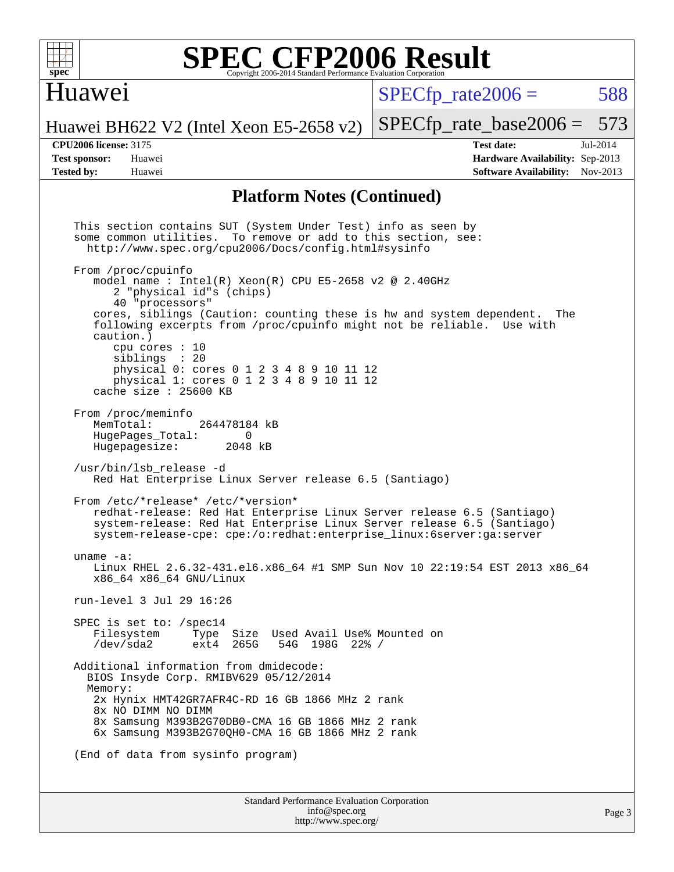

### Huawei

 $SPECTp\_rate2006 = 588$ 

[SPECfp\\_rate\\_base2006 =](http://www.spec.org/auto/cpu2006/Docs/result-fields.html#SPECfpratebase2006) 573

Huawei BH622 V2 (Intel Xeon E5-2658 v2)

**[Tested by:](http://www.spec.org/auto/cpu2006/Docs/result-fields.html#Testedby)** Huawei **[Software Availability:](http://www.spec.org/auto/cpu2006/Docs/result-fields.html#SoftwareAvailability)** Nov-2013

**[CPU2006 license:](http://www.spec.org/auto/cpu2006/Docs/result-fields.html#CPU2006license)** 3175 **[Test date:](http://www.spec.org/auto/cpu2006/Docs/result-fields.html#Testdate)** Jul-2014 **[Test sponsor:](http://www.spec.org/auto/cpu2006/Docs/result-fields.html#Testsponsor)** Huawei **[Hardware Availability:](http://www.spec.org/auto/cpu2006/Docs/result-fields.html#HardwareAvailability)** Sep-2013

#### **[Platform Notes \(Continued\)](http://www.spec.org/auto/cpu2006/Docs/result-fields.html#PlatformNotes)**

 This section contains SUT (System Under Test) info as seen by some common utilities. To remove or add to this section, see: <http://www.spec.org/cpu2006/Docs/config.html#sysinfo> From /proc/cpuinfo model name : Intel $(R)$  Xeon $(R)$  CPU E5-2658 v2 @ 2.40GHz 2 "physical id"s (chips) 40 "processors" cores, siblings (Caution: counting these is hw and system dependent. The following excerpts from /proc/cpuinfo might not be reliable. Use with caution.) cpu cores : 10 siblings : 20 physical 0: cores 0 1 2 3 4 8 9 10 11 12 physical 1: cores 0 1 2 3 4 8 9 10 11 12 cache size : 25600 KB From /proc/meminfo<br>MemTotal: 264478184 kB HugePages\_Total: 0<br>Hugepagesize: 2048 kB Hugepagesize: /usr/bin/lsb\_release -d Red Hat Enterprise Linux Server release 6.5 (Santiago) From /etc/\*release\* /etc/\*version\* redhat-release: Red Hat Enterprise Linux Server release 6.5 (Santiago) system-release: Red Hat Enterprise Linux Server release 6.5 (Santiago) system-release-cpe: cpe:/o:redhat:enterprise\_linux:6server:ga:server uname -a: Linux RHEL 2.6.32-431.el6.x86\_64 #1 SMP Sun Nov 10 22:19:54 EST 2013 x86\_64 x86\_64 x86\_64 GNU/Linux run-level 3 Jul 29 16:26 SPEC is set to: /spec14<br>Filesystem Type Type Size Used Avail Use% Mounted on /dev/sda2 ext4 265G 54G 198G 22% / Additional information from dmidecode: BIOS Insyde Corp. RMIBV629 05/12/2014 Memory: 2x Hynix HMT42GR7AFR4C-RD 16 GB 1866 MHz 2 rank 8x NO DIMM NO DIMM 8x Samsung M393B2G70DB0-CMA 16 GB 1866 MHz 2 rank 6x Samsung M393B2G70QH0-CMA 16 GB 1866 MHz 2 rank (End of data from sysinfo program)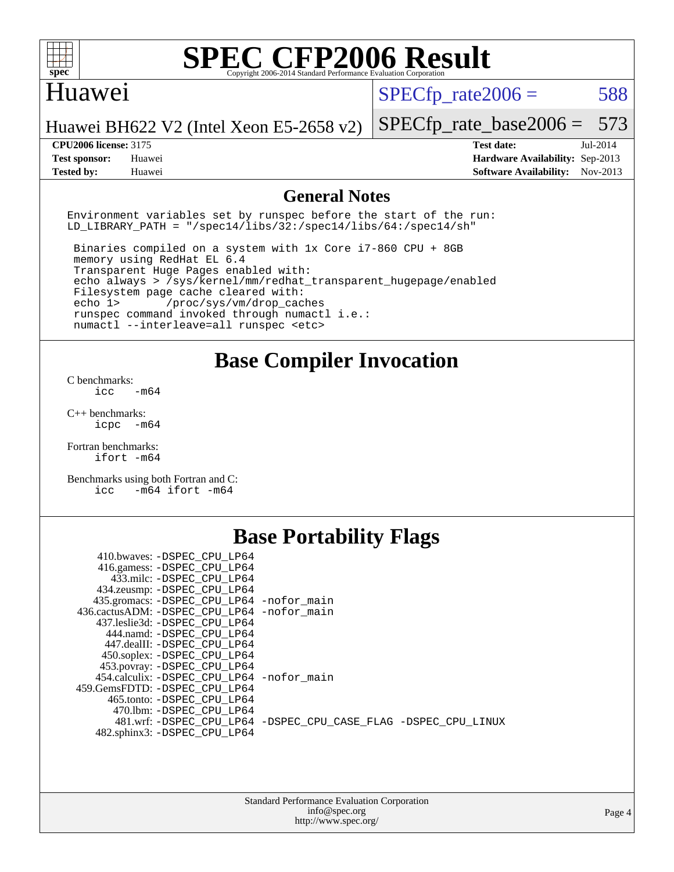

#### Huawei

 $SPECTp\_rate2006 = 588$ 

Huawei BH622 V2 (Intel Xeon E5-2658 v2)

#### **[CPU2006 license:](http://www.spec.org/auto/cpu2006/Docs/result-fields.html#CPU2006license)** 3175 **[Test date:](http://www.spec.org/auto/cpu2006/Docs/result-fields.html#Testdate)** Jul-2014

[SPECfp\\_rate\\_base2006 =](http://www.spec.org/auto/cpu2006/Docs/result-fields.html#SPECfpratebase2006) 573

**[Test sponsor:](http://www.spec.org/auto/cpu2006/Docs/result-fields.html#Testsponsor)** Huawei **[Hardware Availability:](http://www.spec.org/auto/cpu2006/Docs/result-fields.html#HardwareAvailability)** Sep-2013 **[Tested by:](http://www.spec.org/auto/cpu2006/Docs/result-fields.html#Testedby)** Huawei **[Software Availability:](http://www.spec.org/auto/cpu2006/Docs/result-fields.html#SoftwareAvailability)** Nov-2013

#### **[General Notes](http://www.spec.org/auto/cpu2006/Docs/result-fields.html#GeneralNotes)**

Environment variables set by runspec before the start of the run: LD LIBRARY PATH = "/spec14/libs/32:/spec14/libs/64:/spec14/sh"

 Binaries compiled on a system with 1x Core i7-860 CPU + 8GB memory using RedHat EL 6.4 Transparent Huge Pages enabled with: echo always > /sys/kernel/mm/redhat\_transparent\_hugepage/enabled Filesystem page cache cleared with: echo 1> /proc/sys/vm/drop\_caches runspec command invoked through numactl i.e.: numactl --interleave=all runspec <etc>

**[Base Compiler Invocation](http://www.spec.org/auto/cpu2006/Docs/result-fields.html#BaseCompilerInvocation)**

[C benchmarks](http://www.spec.org/auto/cpu2006/Docs/result-fields.html#Cbenchmarks):  $\text{icc}$   $-\text{m64}$ 

[C++ benchmarks:](http://www.spec.org/auto/cpu2006/Docs/result-fields.html#CXXbenchmarks) [icpc -m64](http://www.spec.org/cpu2006/results/res2014q3/cpu2006-20140804-30730.flags.html#user_CXXbase_intel_icpc_64bit_bedb90c1146cab66620883ef4f41a67e)

[Fortran benchmarks](http://www.spec.org/auto/cpu2006/Docs/result-fields.html#Fortranbenchmarks): [ifort -m64](http://www.spec.org/cpu2006/results/res2014q3/cpu2006-20140804-30730.flags.html#user_FCbase_intel_ifort_64bit_ee9d0fb25645d0210d97eb0527dcc06e)

[Benchmarks using both Fortran and C](http://www.spec.org/auto/cpu2006/Docs/result-fields.html#BenchmarksusingbothFortranandC): [icc -m64](http://www.spec.org/cpu2006/results/res2014q3/cpu2006-20140804-30730.flags.html#user_CC_FCbase_intel_icc_64bit_0b7121f5ab7cfabee23d88897260401c) [ifort -m64](http://www.spec.org/cpu2006/results/res2014q3/cpu2006-20140804-30730.flags.html#user_CC_FCbase_intel_ifort_64bit_ee9d0fb25645d0210d97eb0527dcc06e)

## **[Base Portability Flags](http://www.spec.org/auto/cpu2006/Docs/result-fields.html#BasePortabilityFlags)**

| 410.bwaves: -DSPEC CPU LP64                 |                                                                |
|---------------------------------------------|----------------------------------------------------------------|
| 416.gamess: -DSPEC_CPU_LP64                 |                                                                |
| 433.milc: -DSPEC CPU LP64                   |                                                                |
| 434.zeusmp: - DSPEC_CPU_LP64                |                                                                |
| 435.gromacs: -DSPEC_CPU_LP64 -nofor_main    |                                                                |
| 436.cactusADM: -DSPEC CPU LP64 -nofor main  |                                                                |
| 437.leslie3d: -DSPEC CPU LP64               |                                                                |
| 444.namd: -DSPEC CPU LP64                   |                                                                |
| 447.dealII: -DSPEC_CPU LP64                 |                                                                |
| 450.soplex: -DSPEC_CPU_LP64                 |                                                                |
| 453.povray: -DSPEC CPU LP64                 |                                                                |
| 454.calculix: - DSPEC CPU LP64 - nofor main |                                                                |
| 459. GemsFDTD: - DSPEC CPU LP64             |                                                                |
| 465.tonto: - DSPEC CPU LP64                 |                                                                |
| 470.1bm: - DSPEC CPU LP64                   |                                                                |
|                                             | 481.wrf: -DSPEC CPU_LP64 -DSPEC_CPU_CASE_FLAG -DSPEC_CPU_LINUX |
| 482.sphinx3: -DSPEC_CPU_LP64                |                                                                |
|                                             |                                                                |

| <b>Standard Performance Evaluation Corporation</b> |
|----------------------------------------------------|
| info@spec.org                                      |
| http://www.spec.org/                               |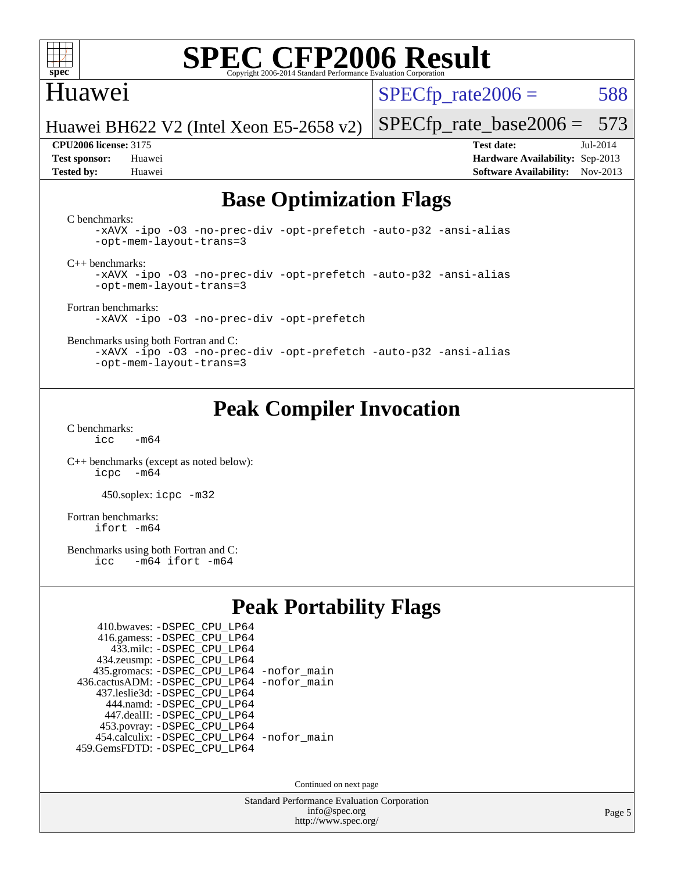

### Huawei

 $SPECTp\_rate2006 = 588$ 

Huawei BH622 V2 (Intel Xeon E5-2658 v2)

**[Test sponsor:](http://www.spec.org/auto/cpu2006/Docs/result-fields.html#Testsponsor)** Huawei **[Hardware Availability:](http://www.spec.org/auto/cpu2006/Docs/result-fields.html#HardwareAvailability)** Sep-2013 **[Tested by:](http://www.spec.org/auto/cpu2006/Docs/result-fields.html#Testedby)** Huawei **[Software Availability:](http://www.spec.org/auto/cpu2006/Docs/result-fields.html#SoftwareAvailability)** Nov-2013

[SPECfp\\_rate\\_base2006 =](http://www.spec.org/auto/cpu2006/Docs/result-fields.html#SPECfpratebase2006) 573 **[CPU2006 license:](http://www.spec.org/auto/cpu2006/Docs/result-fields.html#CPU2006license)** 3175 **[Test date:](http://www.spec.org/auto/cpu2006/Docs/result-fields.html#Testdate)** Jul-2014

**[Base Optimization Flags](http://www.spec.org/auto/cpu2006/Docs/result-fields.html#BaseOptimizationFlags)**

[C benchmarks](http://www.spec.org/auto/cpu2006/Docs/result-fields.html#Cbenchmarks):

[-xAVX](http://www.spec.org/cpu2006/results/res2014q3/cpu2006-20140804-30730.flags.html#user_CCbase_f-xAVX) [-ipo](http://www.spec.org/cpu2006/results/res2014q3/cpu2006-20140804-30730.flags.html#user_CCbase_f-ipo) [-O3](http://www.spec.org/cpu2006/results/res2014q3/cpu2006-20140804-30730.flags.html#user_CCbase_f-O3) [-no-prec-div](http://www.spec.org/cpu2006/results/res2014q3/cpu2006-20140804-30730.flags.html#user_CCbase_f-no-prec-div) [-opt-prefetch](http://www.spec.org/cpu2006/results/res2014q3/cpu2006-20140804-30730.flags.html#user_CCbase_f-opt-prefetch) [-auto-p32](http://www.spec.org/cpu2006/results/res2014q3/cpu2006-20140804-30730.flags.html#user_CCbase_f-auto-p32) [-ansi-alias](http://www.spec.org/cpu2006/results/res2014q3/cpu2006-20140804-30730.flags.html#user_CCbase_f-ansi-alias) [-opt-mem-layout-trans=3](http://www.spec.org/cpu2006/results/res2014q3/cpu2006-20140804-30730.flags.html#user_CCbase_f-opt-mem-layout-trans_a7b82ad4bd7abf52556d4961a2ae94d5)

[C++ benchmarks:](http://www.spec.org/auto/cpu2006/Docs/result-fields.html#CXXbenchmarks)

[-xAVX](http://www.spec.org/cpu2006/results/res2014q3/cpu2006-20140804-30730.flags.html#user_CXXbase_f-xAVX) [-ipo](http://www.spec.org/cpu2006/results/res2014q3/cpu2006-20140804-30730.flags.html#user_CXXbase_f-ipo) [-O3](http://www.spec.org/cpu2006/results/res2014q3/cpu2006-20140804-30730.flags.html#user_CXXbase_f-O3) [-no-prec-div](http://www.spec.org/cpu2006/results/res2014q3/cpu2006-20140804-30730.flags.html#user_CXXbase_f-no-prec-div) [-opt-prefetch](http://www.spec.org/cpu2006/results/res2014q3/cpu2006-20140804-30730.flags.html#user_CXXbase_f-opt-prefetch) [-auto-p32](http://www.spec.org/cpu2006/results/res2014q3/cpu2006-20140804-30730.flags.html#user_CXXbase_f-auto-p32) [-ansi-alias](http://www.spec.org/cpu2006/results/res2014q3/cpu2006-20140804-30730.flags.html#user_CXXbase_f-ansi-alias) [-opt-mem-layout-trans=3](http://www.spec.org/cpu2006/results/res2014q3/cpu2006-20140804-30730.flags.html#user_CXXbase_f-opt-mem-layout-trans_a7b82ad4bd7abf52556d4961a2ae94d5)

[Fortran benchmarks](http://www.spec.org/auto/cpu2006/Docs/result-fields.html#Fortranbenchmarks): [-xAVX](http://www.spec.org/cpu2006/results/res2014q3/cpu2006-20140804-30730.flags.html#user_FCbase_f-xAVX) [-ipo](http://www.spec.org/cpu2006/results/res2014q3/cpu2006-20140804-30730.flags.html#user_FCbase_f-ipo) [-O3](http://www.spec.org/cpu2006/results/res2014q3/cpu2006-20140804-30730.flags.html#user_FCbase_f-O3) [-no-prec-div](http://www.spec.org/cpu2006/results/res2014q3/cpu2006-20140804-30730.flags.html#user_FCbase_f-no-prec-div) [-opt-prefetch](http://www.spec.org/cpu2006/results/res2014q3/cpu2006-20140804-30730.flags.html#user_FCbase_f-opt-prefetch)

[Benchmarks using both Fortran and C](http://www.spec.org/auto/cpu2006/Docs/result-fields.html#BenchmarksusingbothFortranandC):

[-xAVX](http://www.spec.org/cpu2006/results/res2014q3/cpu2006-20140804-30730.flags.html#user_CC_FCbase_f-xAVX) [-ipo](http://www.spec.org/cpu2006/results/res2014q3/cpu2006-20140804-30730.flags.html#user_CC_FCbase_f-ipo) [-O3](http://www.spec.org/cpu2006/results/res2014q3/cpu2006-20140804-30730.flags.html#user_CC_FCbase_f-O3) [-no-prec-div](http://www.spec.org/cpu2006/results/res2014q3/cpu2006-20140804-30730.flags.html#user_CC_FCbase_f-no-prec-div) [-opt-prefetch](http://www.spec.org/cpu2006/results/res2014q3/cpu2006-20140804-30730.flags.html#user_CC_FCbase_f-opt-prefetch) [-auto-p32](http://www.spec.org/cpu2006/results/res2014q3/cpu2006-20140804-30730.flags.html#user_CC_FCbase_f-auto-p32) [-ansi-alias](http://www.spec.org/cpu2006/results/res2014q3/cpu2006-20140804-30730.flags.html#user_CC_FCbase_f-ansi-alias) [-opt-mem-layout-trans=3](http://www.spec.org/cpu2006/results/res2014q3/cpu2006-20140804-30730.flags.html#user_CC_FCbase_f-opt-mem-layout-trans_a7b82ad4bd7abf52556d4961a2ae94d5)

## **[Peak Compiler Invocation](http://www.spec.org/auto/cpu2006/Docs/result-fields.html#PeakCompilerInvocation)**

[C benchmarks](http://www.spec.org/auto/cpu2006/Docs/result-fields.html#Cbenchmarks):  $icc$   $-m64$ 

[C++ benchmarks \(except as noted below\):](http://www.spec.org/auto/cpu2006/Docs/result-fields.html#CXXbenchmarksexceptasnotedbelow) [icpc -m64](http://www.spec.org/cpu2006/results/res2014q3/cpu2006-20140804-30730.flags.html#user_CXXpeak_intel_icpc_64bit_bedb90c1146cab66620883ef4f41a67e)

450.soplex: [icpc -m32](http://www.spec.org/cpu2006/results/res2014q3/cpu2006-20140804-30730.flags.html#user_peakCXXLD450_soplex_intel_icpc_4e5a5ef1a53fd332b3c49e69c3330699)

[Fortran benchmarks](http://www.spec.org/auto/cpu2006/Docs/result-fields.html#Fortranbenchmarks): [ifort -m64](http://www.spec.org/cpu2006/results/res2014q3/cpu2006-20140804-30730.flags.html#user_FCpeak_intel_ifort_64bit_ee9d0fb25645d0210d97eb0527dcc06e)

[Benchmarks using both Fortran and C](http://www.spec.org/auto/cpu2006/Docs/result-fields.html#BenchmarksusingbothFortranandC):<br>icc -m64 ifort -m64  $-m64$  ifort  $-m64$ 

## **[Peak Portability Flags](http://www.spec.org/auto/cpu2006/Docs/result-fields.html#PeakPortabilityFlags)**

| 410.bwaves: - DSPEC CPU LP64                |  |
|---------------------------------------------|--|
| 416.gamess: -DSPEC_CPU_LP64                 |  |
| 433.milc: - DSPEC_CPU LP64                  |  |
| 434.zeusmp: -DSPEC_CPU_LP64                 |  |
| 435.gromacs: -DSPEC_CPU_LP64 -nofor_main    |  |
| 436.cactusADM: -DSPEC CPU LP64 -nofor main  |  |
| 437.leslie3d: -DSPEC CPU LP64               |  |
| 444.namd: - DSPEC CPU LP64                  |  |
| 447.dealII: -DSPEC CPU LP64                 |  |
| 453.povray: -DSPEC_CPU_LP64                 |  |
| 454.calculix: - DSPEC CPU LP64 - nofor main |  |
| 459.GemsFDTD: - DSPEC_CPU_LP64              |  |

Continued on next page

Standard Performance Evaluation Corporation [info@spec.org](mailto:info@spec.org) <http://www.spec.org/>

Page 5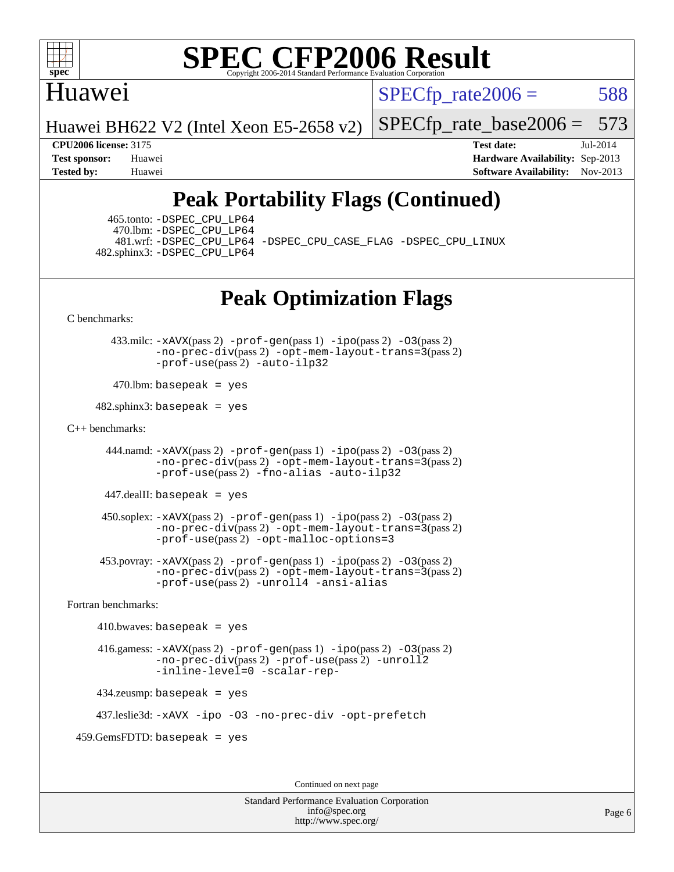

### Huawei

 $SPECTp\_rate2006 = 588$ 

Huawei BH622 V2 (Intel Xeon E5-2658 v2)

[SPECfp\\_rate\\_base2006 =](http://www.spec.org/auto/cpu2006/Docs/result-fields.html#SPECfpratebase2006) 573

**[CPU2006 license:](http://www.spec.org/auto/cpu2006/Docs/result-fields.html#CPU2006license)** 3175 **[Test date:](http://www.spec.org/auto/cpu2006/Docs/result-fields.html#Testdate)** Jul-2014 **[Test sponsor:](http://www.spec.org/auto/cpu2006/Docs/result-fields.html#Testsponsor)** Huawei **[Hardware Availability:](http://www.spec.org/auto/cpu2006/Docs/result-fields.html#HardwareAvailability)** Sep-2013 **[Tested by:](http://www.spec.org/auto/cpu2006/Docs/result-fields.html#Testedby)** Huawei **[Software Availability:](http://www.spec.org/auto/cpu2006/Docs/result-fields.html#SoftwareAvailability)** Nov-2013

## **[Peak Portability Flags \(Continued\)](http://www.spec.org/auto/cpu2006/Docs/result-fields.html#PeakPortabilityFlags)**

 465.tonto: [-DSPEC\\_CPU\\_LP64](http://www.spec.org/cpu2006/results/res2014q3/cpu2006-20140804-30730.flags.html#suite_peakPORTABILITY465_tonto_DSPEC_CPU_LP64) 470.lbm: [-DSPEC\\_CPU\\_LP64](http://www.spec.org/cpu2006/results/res2014q3/cpu2006-20140804-30730.flags.html#suite_peakPORTABILITY470_lbm_DSPEC_CPU_LP64) 482.sphinx3: [-DSPEC\\_CPU\\_LP64](http://www.spec.org/cpu2006/results/res2014q3/cpu2006-20140804-30730.flags.html#suite_peakPORTABILITY482_sphinx3_DSPEC_CPU_LP64)

481.wrf: [-DSPEC\\_CPU\\_LP64](http://www.spec.org/cpu2006/results/res2014q3/cpu2006-20140804-30730.flags.html#suite_peakPORTABILITY481_wrf_DSPEC_CPU_LP64) [-DSPEC\\_CPU\\_CASE\\_FLAG](http://www.spec.org/cpu2006/results/res2014q3/cpu2006-20140804-30730.flags.html#b481.wrf_peakCPORTABILITY_DSPEC_CPU_CASE_FLAG) [-DSPEC\\_CPU\\_LINUX](http://www.spec.org/cpu2006/results/res2014q3/cpu2006-20140804-30730.flags.html#b481.wrf_peakCPORTABILITY_DSPEC_CPU_LINUX)

## **[Peak Optimization Flags](http://www.spec.org/auto/cpu2006/Docs/result-fields.html#PeakOptimizationFlags)**

[C benchmarks](http://www.spec.org/auto/cpu2006/Docs/result-fields.html#Cbenchmarks):

 433.milc: [-xAVX](http://www.spec.org/cpu2006/results/res2014q3/cpu2006-20140804-30730.flags.html#user_peakPASS2_CFLAGSPASS2_LDFLAGS433_milc_f-xAVX)(pass 2) [-prof-gen](http://www.spec.org/cpu2006/results/res2014q3/cpu2006-20140804-30730.flags.html#user_peakPASS1_CFLAGSPASS1_LDFLAGS433_milc_prof_gen_e43856698f6ca7b7e442dfd80e94a8fc)(pass 1) [-ipo](http://www.spec.org/cpu2006/results/res2014q3/cpu2006-20140804-30730.flags.html#user_peakPASS2_CFLAGSPASS2_LDFLAGS433_milc_f-ipo)(pass 2) [-O3](http://www.spec.org/cpu2006/results/res2014q3/cpu2006-20140804-30730.flags.html#user_peakPASS2_CFLAGSPASS2_LDFLAGS433_milc_f-O3)(pass 2) [-no-prec-div](http://www.spec.org/cpu2006/results/res2014q3/cpu2006-20140804-30730.flags.html#user_peakPASS2_CFLAGSPASS2_LDFLAGS433_milc_f-no-prec-div)(pass 2) [-opt-mem-layout-trans=3](http://www.spec.org/cpu2006/results/res2014q3/cpu2006-20140804-30730.flags.html#user_peakPASS2_CFLAGS433_milc_f-opt-mem-layout-trans_a7b82ad4bd7abf52556d4961a2ae94d5)(pass 2) [-prof-use](http://www.spec.org/cpu2006/results/res2014q3/cpu2006-20140804-30730.flags.html#user_peakPASS2_CFLAGSPASS2_LDFLAGS433_milc_prof_use_bccf7792157ff70d64e32fe3e1250b55)(pass 2) [-auto-ilp32](http://www.spec.org/cpu2006/results/res2014q3/cpu2006-20140804-30730.flags.html#user_peakCOPTIMIZE433_milc_f-auto-ilp32)

 $470$ .lbm: basepeak = yes

 $482$ .sphinx3: basepeak = yes

#### [C++ benchmarks:](http://www.spec.org/auto/cpu2006/Docs/result-fields.html#CXXbenchmarks)

 444.namd: [-xAVX](http://www.spec.org/cpu2006/results/res2014q3/cpu2006-20140804-30730.flags.html#user_peakPASS2_CXXFLAGSPASS2_LDFLAGS444_namd_f-xAVX)(pass 2) [-prof-gen](http://www.spec.org/cpu2006/results/res2014q3/cpu2006-20140804-30730.flags.html#user_peakPASS1_CXXFLAGSPASS1_LDFLAGS444_namd_prof_gen_e43856698f6ca7b7e442dfd80e94a8fc)(pass 1) [-ipo](http://www.spec.org/cpu2006/results/res2014q3/cpu2006-20140804-30730.flags.html#user_peakPASS2_CXXFLAGSPASS2_LDFLAGS444_namd_f-ipo)(pass 2) [-O3](http://www.spec.org/cpu2006/results/res2014q3/cpu2006-20140804-30730.flags.html#user_peakPASS2_CXXFLAGSPASS2_LDFLAGS444_namd_f-O3)(pass 2) [-no-prec-div](http://www.spec.org/cpu2006/results/res2014q3/cpu2006-20140804-30730.flags.html#user_peakPASS2_CXXFLAGSPASS2_LDFLAGS444_namd_f-no-prec-div)(pass 2) [-opt-mem-layout-trans=3](http://www.spec.org/cpu2006/results/res2014q3/cpu2006-20140804-30730.flags.html#user_peakPASS2_CXXFLAGS444_namd_f-opt-mem-layout-trans_a7b82ad4bd7abf52556d4961a2ae94d5)(pass 2) [-prof-use](http://www.spec.org/cpu2006/results/res2014q3/cpu2006-20140804-30730.flags.html#user_peakPASS2_CXXFLAGSPASS2_LDFLAGS444_namd_prof_use_bccf7792157ff70d64e32fe3e1250b55)(pass 2) [-fno-alias](http://www.spec.org/cpu2006/results/res2014q3/cpu2006-20140804-30730.flags.html#user_peakCXXOPTIMIZE444_namd_f-no-alias_694e77f6c5a51e658e82ccff53a9e63a) [-auto-ilp32](http://www.spec.org/cpu2006/results/res2014q3/cpu2006-20140804-30730.flags.html#user_peakCXXOPTIMIZE444_namd_f-auto-ilp32)

447.dealII: basepeak = yes

 $450$ .soplex:  $-x$ AVX(pass 2)  $-p$ rof-gen(pass 1)  $-i$ po(pass 2)  $-03$ (pass 2) [-no-prec-div](http://www.spec.org/cpu2006/results/res2014q3/cpu2006-20140804-30730.flags.html#user_peakPASS2_CXXFLAGSPASS2_LDFLAGS450_soplex_f-no-prec-div)(pass 2) [-opt-mem-layout-trans=3](http://www.spec.org/cpu2006/results/res2014q3/cpu2006-20140804-30730.flags.html#user_peakPASS2_CXXFLAGS450_soplex_f-opt-mem-layout-trans_a7b82ad4bd7abf52556d4961a2ae94d5)(pass 2) [-prof-use](http://www.spec.org/cpu2006/results/res2014q3/cpu2006-20140804-30730.flags.html#user_peakPASS2_CXXFLAGSPASS2_LDFLAGS450_soplex_prof_use_bccf7792157ff70d64e32fe3e1250b55)(pass 2) [-opt-malloc-options=3](http://www.spec.org/cpu2006/results/res2014q3/cpu2006-20140804-30730.flags.html#user_peakOPTIMIZE450_soplex_f-opt-malloc-options_13ab9b803cf986b4ee62f0a5998c2238)

 453.povray: [-xAVX](http://www.spec.org/cpu2006/results/res2014q3/cpu2006-20140804-30730.flags.html#user_peakPASS2_CXXFLAGSPASS2_LDFLAGS453_povray_f-xAVX)(pass 2) [-prof-gen](http://www.spec.org/cpu2006/results/res2014q3/cpu2006-20140804-30730.flags.html#user_peakPASS1_CXXFLAGSPASS1_LDFLAGS453_povray_prof_gen_e43856698f6ca7b7e442dfd80e94a8fc)(pass 1) [-ipo](http://www.spec.org/cpu2006/results/res2014q3/cpu2006-20140804-30730.flags.html#user_peakPASS2_CXXFLAGSPASS2_LDFLAGS453_povray_f-ipo)(pass 2) [-O3](http://www.spec.org/cpu2006/results/res2014q3/cpu2006-20140804-30730.flags.html#user_peakPASS2_CXXFLAGSPASS2_LDFLAGS453_povray_f-O3)(pass 2) [-no-prec-div](http://www.spec.org/cpu2006/results/res2014q3/cpu2006-20140804-30730.flags.html#user_peakPASS2_CXXFLAGSPASS2_LDFLAGS453_povray_f-no-prec-div)(pass 2) [-opt-mem-layout-trans=3](http://www.spec.org/cpu2006/results/res2014q3/cpu2006-20140804-30730.flags.html#user_peakPASS2_CXXFLAGS453_povray_f-opt-mem-layout-trans_a7b82ad4bd7abf52556d4961a2ae94d5)(pass 2) [-prof-use](http://www.spec.org/cpu2006/results/res2014q3/cpu2006-20140804-30730.flags.html#user_peakPASS2_CXXFLAGSPASS2_LDFLAGS453_povray_prof_use_bccf7792157ff70d64e32fe3e1250b55)(pass 2) [-unroll4](http://www.spec.org/cpu2006/results/res2014q3/cpu2006-20140804-30730.flags.html#user_peakCXXOPTIMIZE453_povray_f-unroll_4e5e4ed65b7fd20bdcd365bec371b81f) [-ansi-alias](http://www.spec.org/cpu2006/results/res2014q3/cpu2006-20140804-30730.flags.html#user_peakCXXOPTIMIZE453_povray_f-ansi-alias)

[Fortran benchmarks](http://www.spec.org/auto/cpu2006/Docs/result-fields.html#Fortranbenchmarks):

```
410.bwaves: basepeak = yes 416.gamess: -xAVX(pass 2) -prof-gen(pass 1) -ipo(pass 2) -O3(pass 2)
         -no-prec-div(pass 2) -prof-use(pass 2) -unroll2
         -inline-level=0 -scalar-rep-
434.zeusmp: basepeak = yes
```
437.leslie3d: [-xAVX](http://www.spec.org/cpu2006/results/res2014q3/cpu2006-20140804-30730.flags.html#user_peakOPTIMIZE437_leslie3d_f-xAVX) [-ipo](http://www.spec.org/cpu2006/results/res2014q3/cpu2006-20140804-30730.flags.html#user_peakOPTIMIZE437_leslie3d_f-ipo) [-O3](http://www.spec.org/cpu2006/results/res2014q3/cpu2006-20140804-30730.flags.html#user_peakOPTIMIZE437_leslie3d_f-O3) [-no-prec-div](http://www.spec.org/cpu2006/results/res2014q3/cpu2006-20140804-30730.flags.html#user_peakOPTIMIZE437_leslie3d_f-no-prec-div) [-opt-prefetch](http://www.spec.org/cpu2006/results/res2014q3/cpu2006-20140804-30730.flags.html#user_peakOPTIMIZE437_leslie3d_f-opt-prefetch)

459.GemsFDTD: basepeak = yes

Continued on next page

Standard Performance Evaluation Corporation [info@spec.org](mailto:info@spec.org) <http://www.spec.org/>